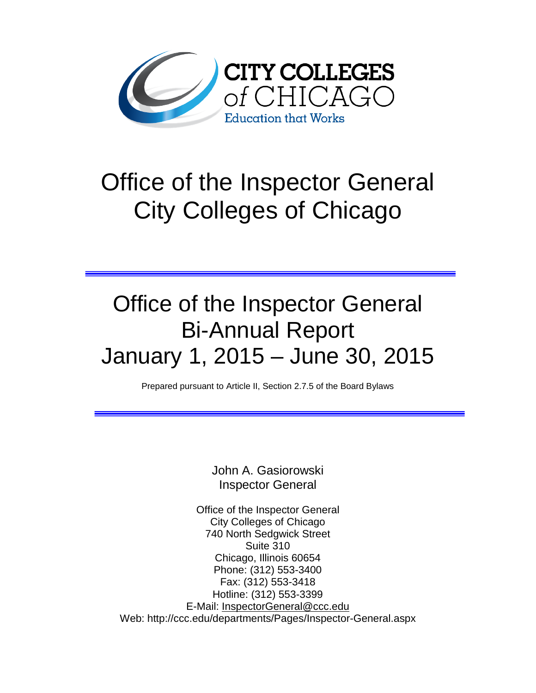

# Office of the Inspector General City Colleges of Chicago

## Office of the Inspector General Bi-Annual Report January 1, 2015 – June 30, 2015

Prepared pursuant to Article II, Section 2.7.5 of the Board Bylaws

John A. Gasiorowski Inspector General

Office of the Inspector General City Colleges of Chicago 740 North Sedgwick Street Suite 310 Chicago, Illinois 60654 Phone: (312) 553-3400 Fax: (312) 553-3418 Hotline: (312) 553-3399 E-Mail: [InspectorGeneral@ccc.edu](mailto:InspectorGeneral@ccc.edu) Web: http://ccc.edu/departments/Pages/Inspector-General.aspx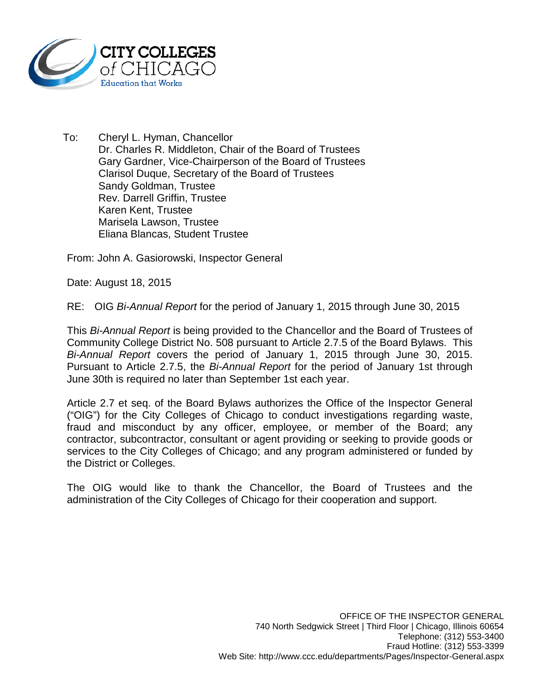

To: Cheryl L. Hyman, Chancellor Dr. Charles R. Middleton, Chair of the Board of Trustees Gary Gardner, Vice-Chairperson of the Board of Trustees Clarisol Duque, Secretary of the Board of Trustees Sandy Goldman, Trustee Rev. Darrell Griffin, Trustee Karen Kent, Trustee Marisela Lawson, Trustee Eliana Blancas, Student Trustee

From: John A. Gasiorowski, Inspector General

Date: August 18, 2015

RE: OIG *Bi-Annual Report* for the period of January 1, 2015 through June 30, 2015

This *Bi-Annual Report* is being provided to the Chancellor and the Board of Trustees of Community College District No. 508 pursuant to Article 2.7.5 of the Board Bylaws. This *Bi-Annual Report* covers the period of January 1, 2015 through June 30, 2015. Pursuant to Article 2.7.5, the *Bi-Annual Report* for the period of January 1st through June 30th is required no later than September 1st each year.

Article 2.7 et seq. of the Board Bylaws authorizes the Office of the Inspector General ("OIG") for the City Colleges of Chicago to conduct investigations regarding waste, fraud and misconduct by any officer, employee, or member of the Board; any contractor, subcontractor, consultant or agent providing or seeking to provide goods or services to the City Colleges of Chicago; and any program administered or funded by the District or Colleges.

The OIG would like to thank the Chancellor, the Board of Trustees and the administration of the City Colleges of Chicago for their cooperation and support.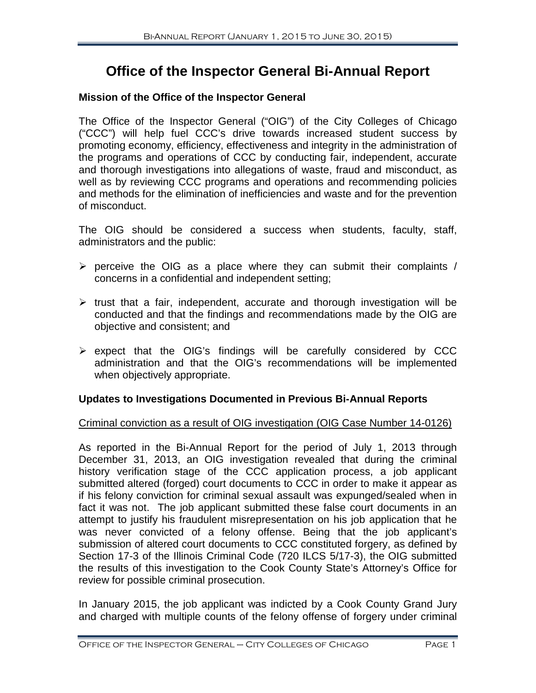### **Office of the Inspector General Bi-Annual Report**

#### **Mission of the Office of the Inspector General**

The Office of the Inspector General ("OIG") of the City Colleges of Chicago ("CCC") will help fuel CCC's drive towards increased student success by promoting economy, efficiency, effectiveness and integrity in the administration of the programs and operations of CCC by conducting fair, independent, accurate and thorough investigations into allegations of waste, fraud and misconduct, as well as by reviewing CCC programs and operations and recommending policies and methods for the elimination of inefficiencies and waste and for the prevention of misconduct.

The OIG should be considered a success when students, faculty, staff, administrators and the public:

- $\triangleright$  perceive the OIG as a place where they can submit their complaints / concerns in a confidential and independent setting;
- $\triangleright$  trust that a fair, independent, accurate and thorough investigation will be conducted and that the findings and recommendations made by the OIG are objective and consistent; and
- $\triangleright$  expect that the OIG's findings will be carefully considered by CCC administration and that the OIG's recommendations will be implemented when objectively appropriate.

#### **Updates to Investigations Documented in Previous Bi-Annual Reports**

#### Criminal conviction as a result of OIG investigation (OIG Case Number 14-0126)

As reported in the Bi-Annual Report for the period of July 1, 2013 through December 31, 2013, an OIG investigation revealed that during the criminal history verification stage of the CCC application process, a job applicant submitted altered (forged) court documents to CCC in order to make it appear as if his felony conviction for criminal sexual assault was expunged/sealed when in fact it was not. The job applicant submitted these false court documents in an attempt to justify his fraudulent misrepresentation on his job application that he was never convicted of a felony offense. Being that the job applicant's submission of altered court documents to CCC constituted forgery, as defined by Section 17-3 of the Illinois Criminal Code (720 ILCS 5/17-3), the OIG submitted the results of this investigation to the Cook County State's Attorney's Office for review for possible criminal prosecution.

In January 2015, the job applicant was indicted by a Cook County Grand Jury and charged with multiple counts of the felony offense of forgery under criminal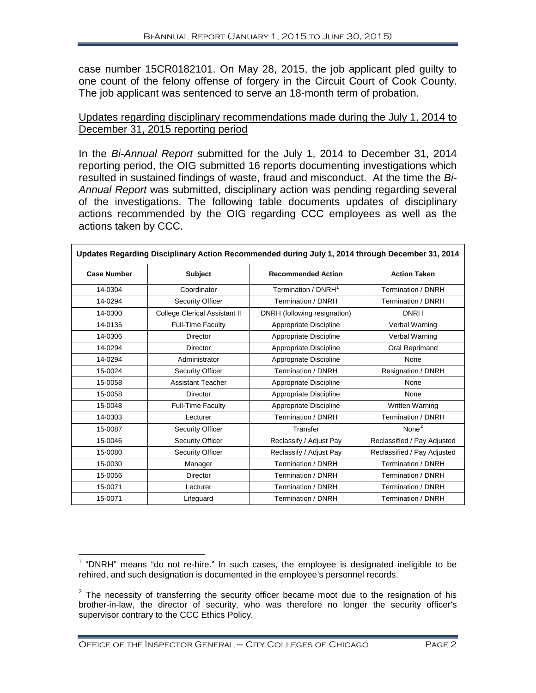case number 15CR0182101. On May 28, 2015, the job applicant pled guilty to one count of the felony offense of forgery in the Circuit Court of Cook County. The job applicant was sentenced to serve an 18-month term of probation.

#### Updates regarding disciplinary recommendations made during the July 1, 2014 to December 31, 2015 reporting period

In the *Bi-Annual Report* submitted for the July 1, 2014 to December 31, 2014 reporting period, the OIG submitted 16 reports documenting investigations which resulted in sustained findings of waste, fraud and misconduct. At the time the *Bi-Annual Report* was submitted, disciplinary action was pending regarding several of the investigations. The following table documents updates of disciplinary actions recommended by the OIG regarding CCC employees as well as the actions taken by CCC.

| Updates Regarding Disciplinary Action Recommended during July 1, 2014 through December 31, 2014 |                               |                                 |                             |
|-------------------------------------------------------------------------------------------------|-------------------------------|---------------------------------|-----------------------------|
| <b>Case Number</b>                                                                              | <b>Subject</b>                | <b>Recommended Action</b>       | <b>Action Taken</b>         |
| 14-0304                                                                                         | Coordinator                   | Termination / DNRH <sup>1</sup> | Termination / DNRH          |
| 14-0294                                                                                         | <b>Security Officer</b>       | Termination / DNRH              | Termination / DNRH          |
| 14-0300                                                                                         | College Clerical Assistant II | DNRH (following resignation)    | <b>DNRH</b>                 |
| 14-0135                                                                                         | Full-Time Faculty             | Appropriate Discipline          | Verbal Warning              |
| 14-0306                                                                                         | <b>Director</b>               | Appropriate Discipline          | Verbal Warning              |
| 14-0294                                                                                         | Director                      | Appropriate Discipline          | Oral Reprimand              |
| 14-0294                                                                                         | Administrator                 | Appropriate Discipline          | None                        |
| 15-0024                                                                                         | <b>Security Officer</b>       | Termination / DNRH              | Resignation / DNRH          |
| 15-0058                                                                                         | <b>Assistant Teacher</b>      | Appropriate Discipline          | None                        |
| 15-0058                                                                                         | Director                      | Appropriate Discipline          | None                        |
| 15-0048                                                                                         | <b>Full-Time Faculty</b>      | Appropriate Discipline          | Written Warning             |
| 14-0303                                                                                         | Lecturer                      | Termination / DNRH              | Termination / DNRH          |
| 15-0087                                                                                         | Security Officer              | Transfer                        | None $2$                    |
| 15-0046                                                                                         | <b>Security Officer</b>       | Reclassify / Adjust Pay         | Reclassified / Pay Adjusted |
| 15-0080                                                                                         | <b>Security Officer</b>       | Reclassify / Adjust Pay         | Reclassified / Pay Adjusted |
| 15-0030                                                                                         | Manager                       | Termination / DNRH              | Termination / DNRH          |
| 15-0056                                                                                         | <b>Director</b>               | Termination / DNRH              | Termination / DNRH          |
| 15-0071                                                                                         | Lecturer                      | Termination / DNRH              | Termination / DNRH          |
| 15-0071                                                                                         | Lifeguard                     | Termination / DNRH              | Termination / DNRH          |

<span id="page-3-0"></span> $1$  "DNRH" means "do not re-hire." In such cases, the employee is designated ineligible to be rehired, and such designation is documented in the employee's personnel records.  $\overline{a}$ 

<span id="page-3-1"></span> $2$  The necessity of transferring the security officer became moot due to the resignation of his brother-in-law, the director of security, who was therefore no longer the security officer's supervisor contrary to the CCC Ethics Policy.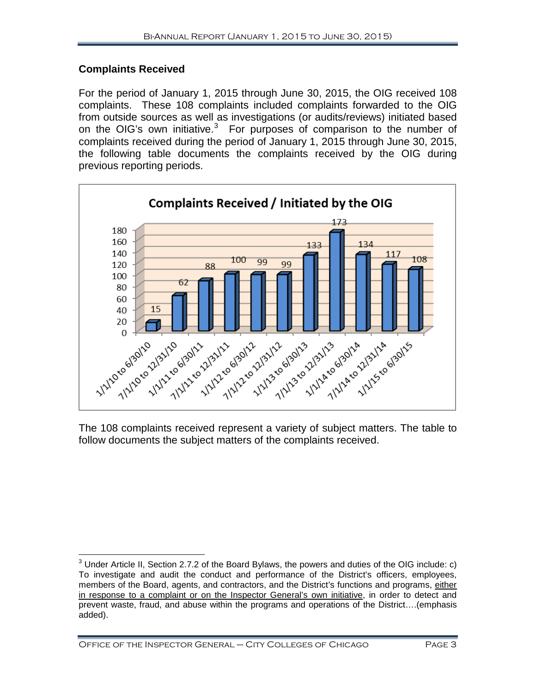#### **Complaints Received**

For the period of January 1, 2015 through June 30, 2015, the OIG received 108 complaints. These 108 complaints included complaints forwarded to the OIG from outside sources as well as investigations (or audits/reviews) initiated based on the OIG's own initiative. $3$  For purposes of comparison to the number of complaints received during the period of January 1, 2015 through June 30, 2015, the following table documents the complaints received by the OIG during previous reporting periods.



The 108 complaints received represent a variety of subject matters. The table to follow documents the subject matters of the complaints received.

<span id="page-4-0"></span> $3$  Under Article II, Section 2.7.2 of the Board Bylaws, the powers and duties of the OIG include: c) To investigate and audit the conduct and performance of the District's officers, employees, members of the Board, agents, and contractors, and the District's functions and programs, either in response to a complaint or on the Inspector General's own initiative, in order to detect and prevent waste, fraud, and abuse within the programs and operations of the District….(emphasis added).  $\overline{\phantom{a}}$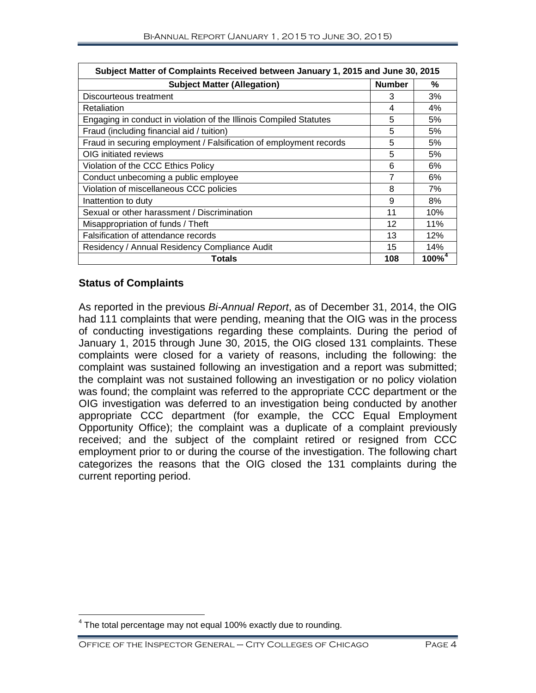| Subject Matter of Complaints Received between January 1, 2015 and June 30, 2015 |               |                      |
|---------------------------------------------------------------------------------|---------------|----------------------|
| <b>Subject Matter (Allegation)</b>                                              | <b>Number</b> | %                    |
| Discourteous treatment                                                          | 3             | 3%                   |
| Retaliation                                                                     | 4             | 4%                   |
| Engaging in conduct in violation of the Illinois Compiled Statutes              | 5             | 5%                   |
| Fraud (including financial aid / tuition)                                       | 5             | 5%                   |
| Fraud in securing employment / Falsification of employment records              | 5             | 5%                   |
| OIG initiated reviews                                                           | 5             | 5%                   |
| Violation of the CCC Ethics Policy                                              | 6             | 6%                   |
| Conduct unbecoming a public employee                                            | 7             | 6%                   |
| Violation of miscellaneous CCC policies                                         |               | 7%                   |
| Inattention to duty                                                             | 9             | 8%                   |
| Sexual or other harassment / Discrimination                                     |               | 10%                  |
| Misappropriation of funds / Theft                                               |               | 11%                  |
| Falsification of attendance records                                             | 13            | 12%                  |
| Residency / Annual Residency Compliance Audit                                   | 15            | 14%                  |
| Totals                                                                          | 108           | $100\%$ <sup>4</sup> |

#### **Status of Complaints**

As reported in the previous *Bi-Annual Report*, as of December 31, 2014, the OIG had 111 complaints that were pending, meaning that the OIG was in the process of conducting investigations regarding these complaints. During the period of January 1, 2015 through June 30, 2015, the OIG closed 131 complaints. These complaints were closed for a variety of reasons, including the following: the complaint was sustained following an investigation and a report was submitted; the complaint was not sustained following an investigation or no policy violation was found; the complaint was referred to the appropriate CCC department or the OIG investigation was deferred to an investigation being conducted by another appropriate CCC department (for example, the CCC Equal Employment Opportunity Office); the complaint was a duplicate of a complaint previously received; and the subject of the complaint retired or resigned from CCC employment prior to or during the course of the investigation. The following chart categorizes the reasons that the OIG closed the 131 complaints during the current reporting period.

<span id="page-5-0"></span> $4$  The total percentage may not equal 100% exactly due to rounding.  $\overline{\phantom{a}}$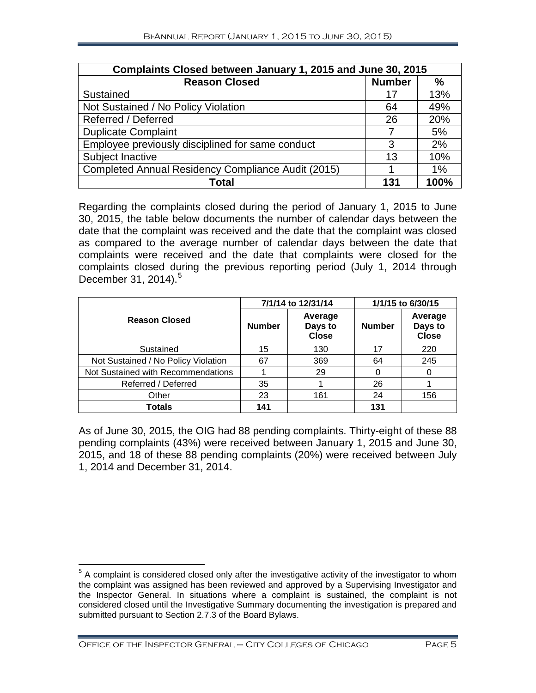| Complaints Closed between January 1, 2015 and June 30, 2015 |               |      |
|-------------------------------------------------------------|---------------|------|
| <b>Reason Closed</b>                                        | <b>Number</b> | %    |
| Sustained                                                   | 17            | 13%  |
| Not Sustained / No Policy Violation                         | 64            | 49%  |
| Referred / Deferred                                         | 26            | 20%  |
| <b>Duplicate Complaint</b>                                  |               | 5%   |
| Employee previously disciplined for same conduct            | 3             | 2%   |
| Subject Inactive                                            | 13            | 10%  |
| Completed Annual Residency Compliance Audit (2015)          |               | 1%   |
| Total                                                       | 131           | 100% |

Regarding the complaints closed during the period of January 1, 2015 to June 30, 2015, the table below documents the number of calendar days between the date that the complaint was received and the date that the complaint was closed as compared to the average number of calendar days between the date that complaints were received and the date that complaints were closed for the complaints closed during the previous reporting period (July 1, 2014 through December 31, 2014). [5](#page-6-0)

|                                     | 7/1/14 to 12/31/14 |                                    | 1/1/15 to 6/30/15 |                                    |
|-------------------------------------|--------------------|------------------------------------|-------------------|------------------------------------|
| <b>Reason Closed</b>                | <b>Number</b>      | Average<br>Days to<br><b>Close</b> | <b>Number</b>     | Average<br>Days to<br><b>Close</b> |
| Sustained                           | 15                 | 130                                | 17                | 220                                |
| Not Sustained / No Policy Violation | 67                 | 369                                | 64                | 245                                |
| Not Sustained with Recommendations  |                    | 29                                 |                   |                                    |
| Referred / Deferred                 | 35                 |                                    | 26                |                                    |
| Other                               | 23                 | 161                                | 24                | 156                                |
| Totals                              | 141                |                                    | 131               |                                    |

As of June 30, 2015, the OIG had 88 pending complaints. Thirty-eight of these 88 pending complaints (43%) were received between January 1, 2015 and June 30, 2015, and 18 of these 88 pending complaints (20%) were received between July 1, 2014 and December 31, 2014.

<span id="page-6-0"></span> $5$  A complaint is considered closed only after the investigative activity of the investigator to whom the complaint was assigned has been reviewed and approved by a Supervising Investigator and the Inspector General. In situations where a complaint is sustained, the complaint is not considered closed until the Investigative Summary documenting the investigation is prepared and submitted pursuant to Section 2.7.3 of the Board Bylaws.  $\overline{a}$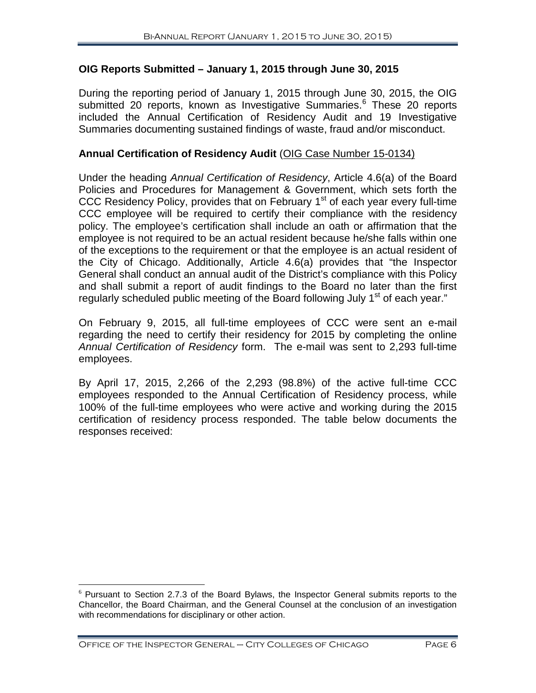#### **OIG Reports Submitted – January 1, 2015 through June 30, 2015**

During the reporting period of January 1, 2015 through June 30, 2015, the OIG submitted 20 reports, known as Investigative Summaries.<sup>[6](#page-7-0)</sup> These 20 reports included the Annual Certification of Residency Audit and 19 Investigative Summaries documenting sustained findings of waste, fraud and/or misconduct.

#### **Annual Certification of Residency Audit** (OIG Case Number 15-0134)

Under the heading *Annual Certification of Residency*, Article 4.6(a) of the Board Policies and Procedures for Management & Government, which sets forth the CCC Residency Policy, provides that on February 1<sup>st</sup> of each year every full-time CCC employee will be required to certify their compliance with the residency policy. The employee's certification shall include an oath or affirmation that the employee is not required to be an actual resident because he/she falls within one of the exceptions to the requirement or that the employee is an actual resident of the City of Chicago. Additionally, Article 4.6(a) provides that "the Inspector General shall conduct an annual audit of the District's compliance with this Policy and shall submit a report of audit findings to the Board no later than the first regularly scheduled public meeting of the Board following July 1<sup>st</sup> of each year."

On February 9, 2015, all full-time employees of CCC were sent an e-mail regarding the need to certify their residency for 2015 by completing the online *Annual Certification of Residency* form. The e-mail was sent to 2,293 full-time employees.

By April 17, 2015, 2,266 of the 2,293 (98.8%) of the active full-time CCC employees responded to the Annual Certification of Residency process, while 100% of the full-time employees who were active and working during the 2015 certification of residency process responded. The table below documents the responses received:

<span id="page-7-0"></span> $6$  Pursuant to Section 2.7.3 of the Board Bylaws, the Inspector General submits reports to the Chancellor, the Board Chairman, and the General Counsel at the conclusion of an investigation with recommendations for disciplinary or other action.  $\overline{a}$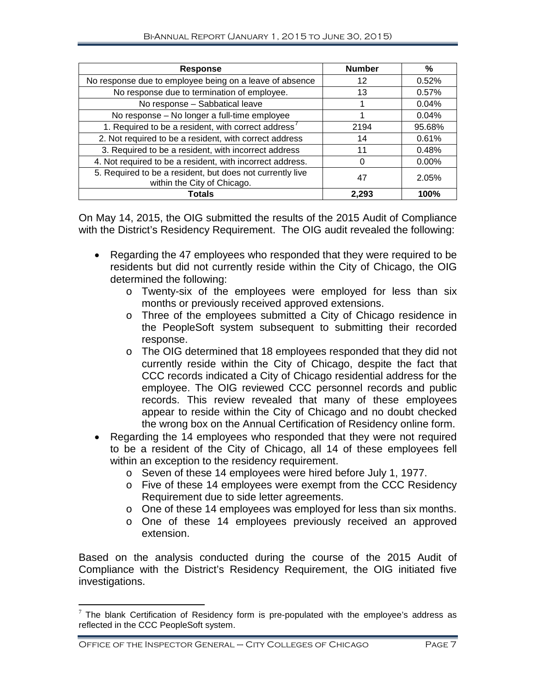| <b>Response</b>                                                                          | <b>Number</b> | %        |
|------------------------------------------------------------------------------------------|---------------|----------|
| No response due to employee being on a leave of absence                                  | 12            | 0.52%    |
| No response due to termination of employee.                                              | 13            | 0.57%    |
| No response - Sabbatical leave                                                           |               | 0.04%    |
| No response - No longer a full-time employee                                             |               | 0.04%    |
| 1. Required to be a resident, with correct address <sup>7</sup>                          | 2194          | 95.68%   |
| 2. Not required to be a resident, with correct address                                   | 14            | 0.61%    |
| 3. Required to be a resident, with incorrect address                                     | 11            | 0.48%    |
| 4. Not required to be a resident, with incorrect address.                                | 0             | $0.00\%$ |
| 5. Required to be a resident, but does not currently live<br>within the City of Chicago. | 47            | 2.05%    |
| Totals                                                                                   | 2.293         | 100%     |

On May 14, 2015, the OIG submitted the results of the 2015 Audit of Compliance with the District's Residency Requirement. The OIG audit revealed the following:

- Regarding the 47 employees who responded that they were required to be residents but did not currently reside within the City of Chicago, the OIG determined the following:
	- o Twenty-six of the employees were employed for less than six months or previously received approved extensions.
	- o Three of the employees submitted a City of Chicago residence in the PeopleSoft system subsequent to submitting their recorded response.
	- o The OIG determined that 18 employees responded that they did not currently reside within the City of Chicago, despite the fact that CCC records indicated a City of Chicago residential address for the employee. The OIG reviewed CCC personnel records and public records. This review revealed that many of these employees appear to reside within the City of Chicago and no doubt checked the wrong box on the Annual Certification of Residency online form.
- Regarding the 14 employees who responded that they were not required to be a resident of the City of Chicago, all 14 of these employees fell within an exception to the residency requirement.
	- o Seven of these 14 employees were hired before July 1, 1977.
	- o Five of these 14 employees were exempt from the CCC Residency Requirement due to side letter agreements.
	- o One of these 14 employees was employed for less than six months.
	- o One of these 14 employees previously received an approved extension.

Based on the analysis conducted during the course of the 2015 Audit of Compliance with the District's Residency Requirement, the OIG initiated five investigations.

<span id="page-8-0"></span> $7$  The blank Certification of Residency form is pre-populated with the employee's address as reflected in the CCC PeopleSoft system.  $\overline{a}$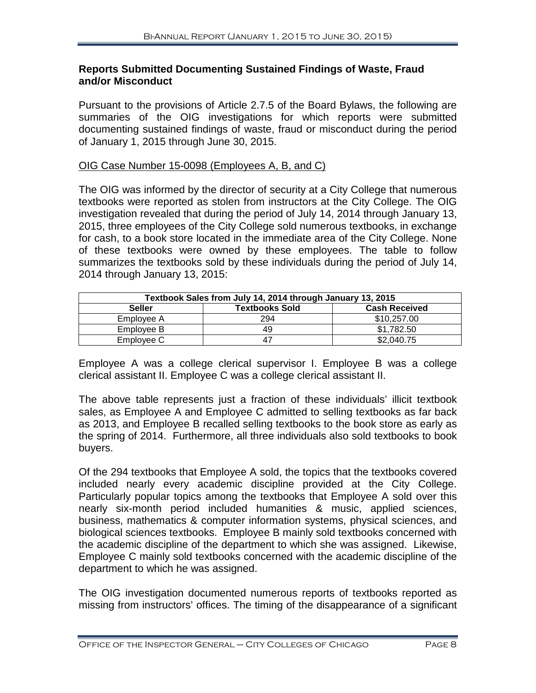#### **Reports Submitted Documenting Sustained Findings of Waste, Fraud and/or Misconduct**

Pursuant to the provisions of Article 2.7.5 of the Board Bylaws, the following are summaries of the OIG investigations for which reports were submitted documenting sustained findings of waste, fraud or misconduct during the period of January 1, 2015 through June 30, 2015.

#### OIG Case Number 15-0098 (Employees A, B, and C)

The OIG was informed by the director of security at a City College that numerous textbooks were reported as stolen from instructors at the City College. The OIG investigation revealed that during the period of July 14, 2014 through January 13, 2015, three employees of the City College sold numerous textbooks, in exchange for cash, to a book store located in the immediate area of the City College. None of these textbooks were owned by these employees. The table to follow summarizes the textbooks sold by these individuals during the period of July 14, 2014 through January 13, 2015:

| Textbook Sales from July 14, 2014 through January 13, 2015 |                       |                      |
|------------------------------------------------------------|-----------------------|----------------------|
| <b>Seller</b>                                              | <b>Textbooks Sold</b> | <b>Cash Received</b> |
| Employee A                                                 | 294                   | \$10,257.00          |
| Employee B                                                 | 49                    | \$1,782.50           |
| Employee C                                                 | 47                    | \$2,040.75           |

Employee A was a college clerical supervisor I. Employee B was a college clerical assistant II. Employee C was a college clerical assistant II.

The above table represents just a fraction of these individuals' illicit textbook sales, as Employee A and Employee C admitted to selling textbooks as far back as 2013, and Employee B recalled selling textbooks to the book store as early as the spring of 2014. Furthermore, all three individuals also sold textbooks to book buyers.

Of the 294 textbooks that Employee A sold, the topics that the textbooks covered included nearly every academic discipline provided at the City College. Particularly popular topics among the textbooks that Employee A sold over this nearly six-month period included humanities & music, applied sciences, business, mathematics & computer information systems, physical sciences, and biological sciences textbooks. Employee B mainly sold textbooks concerned with the academic discipline of the department to which she was assigned. Likewise, Employee C mainly sold textbooks concerned with the academic discipline of the department to which he was assigned.

The OIG investigation documented numerous reports of textbooks reported as missing from instructors' offices. The timing of the disappearance of a significant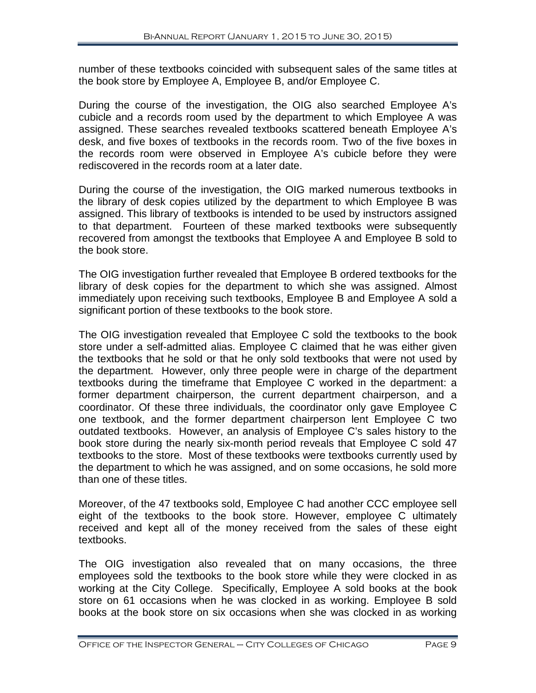number of these textbooks coincided with subsequent sales of the same titles at the book store by Employee A, Employee B, and/or Employee C.

During the course of the investigation, the OIG also searched Employee A's cubicle and a records room used by the department to which Employee A was assigned. These searches revealed textbooks scattered beneath Employee A's desk, and five boxes of textbooks in the records room. Two of the five boxes in the records room were observed in Employee A's cubicle before they were rediscovered in the records room at a later date.

During the course of the investigation, the OIG marked numerous textbooks in the library of desk copies utilized by the department to which Employee B was assigned. This library of textbooks is intended to be used by instructors assigned to that department. Fourteen of these marked textbooks were subsequently recovered from amongst the textbooks that Employee A and Employee B sold to the book store.

The OIG investigation further revealed that Employee B ordered textbooks for the library of desk copies for the department to which she was assigned. Almost immediately upon receiving such textbooks, Employee B and Employee A sold a significant portion of these textbooks to the book store.

The OIG investigation revealed that Employee C sold the textbooks to the book store under a self-admitted alias. Employee C claimed that he was either given the textbooks that he sold or that he only sold textbooks that were not used by the department. However, only three people were in charge of the department textbooks during the timeframe that Employee C worked in the department: a former department chairperson, the current department chairperson, and a coordinator. Of these three individuals, the coordinator only gave Employee C one textbook, and the former department chairperson lent Employee C two outdated textbooks. However, an analysis of Employee C's sales history to the book store during the nearly six-month period reveals that Employee C sold 47 textbooks to the store. Most of these textbooks were textbooks currently used by the department to which he was assigned, and on some occasions, he sold more than one of these titles.

Moreover, of the 47 textbooks sold, Employee C had another CCC employee sell eight of the textbooks to the book store. However, employee C ultimately received and kept all of the money received from the sales of these eight textbooks.

The OIG investigation also revealed that on many occasions, the three employees sold the textbooks to the book store while they were clocked in as working at the City College. Specifically, Employee A sold books at the book store on 61 occasions when he was clocked in as working. Employee B sold books at the book store on six occasions when she was clocked in as working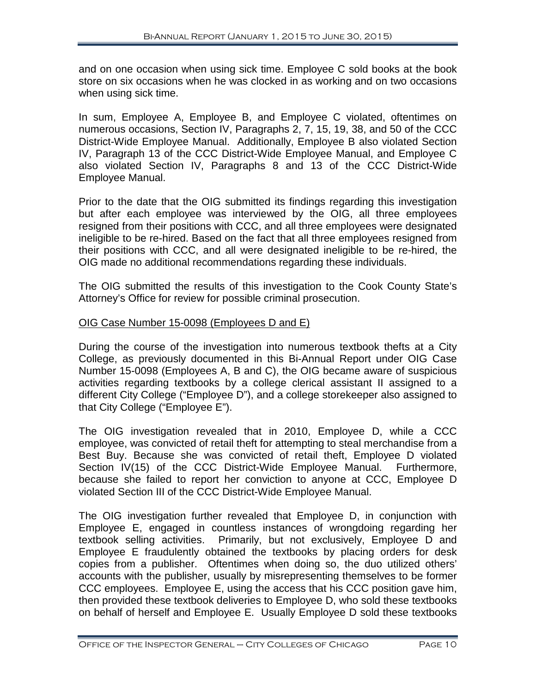and on one occasion when using sick time. Employee C sold books at the book store on six occasions when he was clocked in as working and on two occasions when using sick time.

In sum, Employee A, Employee B, and Employee C violated, oftentimes on numerous occasions, Section IV, Paragraphs 2, 7, 15, 19, 38, and 50 of the CCC District-Wide Employee Manual. Additionally, Employee B also violated Section IV, Paragraph 13 of the CCC District-Wide Employee Manual, and Employee C also violated Section IV, Paragraphs 8 and 13 of the CCC District-Wide Employee Manual.

Prior to the date that the OIG submitted its findings regarding this investigation but after each employee was interviewed by the OIG, all three employees resigned from their positions with CCC, and all three employees were designated ineligible to be re-hired. Based on the fact that all three employees resigned from their positions with CCC, and all were designated ineligible to be re-hired, the OIG made no additional recommendations regarding these individuals.

The OIG submitted the results of this investigation to the Cook County State's Attorney's Office for review for possible criminal prosecution.

#### OIG Case Number 15-0098 (Employees D and E)

During the course of the investigation into numerous textbook thefts at a City College, as previously documented in this Bi-Annual Report under OIG Case Number 15-0098 (Employees A, B and C), the OIG became aware of suspicious activities regarding textbooks by a college clerical assistant II assigned to a different City College ("Employee D"), and a college storekeeper also assigned to that City College ("Employee E").

The OIG investigation revealed that in 2010, Employee D, while a CCC employee, was convicted of retail theft for attempting to steal merchandise from a Best Buy. Because she was convicted of retail theft, Employee D violated Section IV(15) of the CCC District-Wide Employee Manual. Furthermore, because she failed to report her conviction to anyone at CCC, Employee D violated Section III of the CCC District-Wide Employee Manual.

The OIG investigation further revealed that Employee D, in conjunction with Employee E, engaged in countless instances of wrongdoing regarding her textbook selling activities. Primarily, but not exclusively, Employee D and Employee E fraudulently obtained the textbooks by placing orders for desk copies from a publisher. Oftentimes when doing so, the duo utilized others' accounts with the publisher, usually by misrepresenting themselves to be former CCC employees. Employee E, using the access that his CCC position gave him, then provided these textbook deliveries to Employee D, who sold these textbooks on behalf of herself and Employee E. Usually Employee D sold these textbooks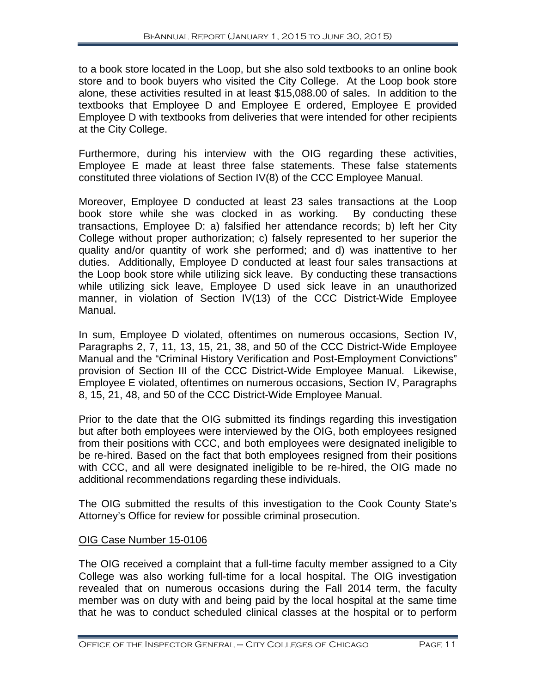to a book store located in the Loop, but she also sold textbooks to an online book store and to book buyers who visited the City College. At the Loop book store alone, these activities resulted in at least \$15,088.00 of sales. In addition to the textbooks that Employee D and Employee E ordered, Employee E provided Employee D with textbooks from deliveries that were intended for other recipients at the City College.

Furthermore, during his interview with the OIG regarding these activities, Employee E made at least three false statements. These false statements constituted three violations of Section IV(8) of the CCC Employee Manual.

Moreover, Employee D conducted at least 23 sales transactions at the Loop<br>book store while she was clocked in as working. By conducting these book store while she was clocked in as working. transactions, Employee D: a) falsified her attendance records; b) left her City College without proper authorization; c) falsely represented to her superior the quality and/or quantity of work she performed; and d) was inattentive to her duties. Additionally, Employee D conducted at least four sales transactions at the Loop book store while utilizing sick leave. By conducting these transactions while utilizing sick leave, Employee D used sick leave in an unauthorized manner, in violation of Section IV(13) of the CCC District-Wide Employee Manual.

In sum, Employee D violated, oftentimes on numerous occasions, Section IV, Paragraphs 2, 7, 11, 13, 15, 21, 38, and 50 of the CCC District-Wide Employee Manual and the "Criminal History Verification and Post-Employment Convictions" provision of Section III of the CCC District-Wide Employee Manual. Likewise, Employee E violated, oftentimes on numerous occasions, Section IV, Paragraphs 8, 15, 21, 48, and 50 of the CCC District-Wide Employee Manual.

Prior to the date that the OIG submitted its findings regarding this investigation but after both employees were interviewed by the OIG, both employees resigned from their positions with CCC, and both employees were designated ineligible to be re-hired. Based on the fact that both employees resigned from their positions with CCC, and all were designated ineligible to be re-hired, the OIG made no additional recommendations regarding these individuals.

The OIG submitted the results of this investigation to the Cook County State's Attorney's Office for review for possible criminal prosecution.

#### OIG Case Number 15-0106

The OIG received a complaint that a full-time faculty member assigned to a City College was also working full-time for a local hospital. The OIG investigation revealed that on numerous occasions during the Fall 2014 term, the faculty member was on duty with and being paid by the local hospital at the same time that he was to conduct scheduled clinical classes at the hospital or to perform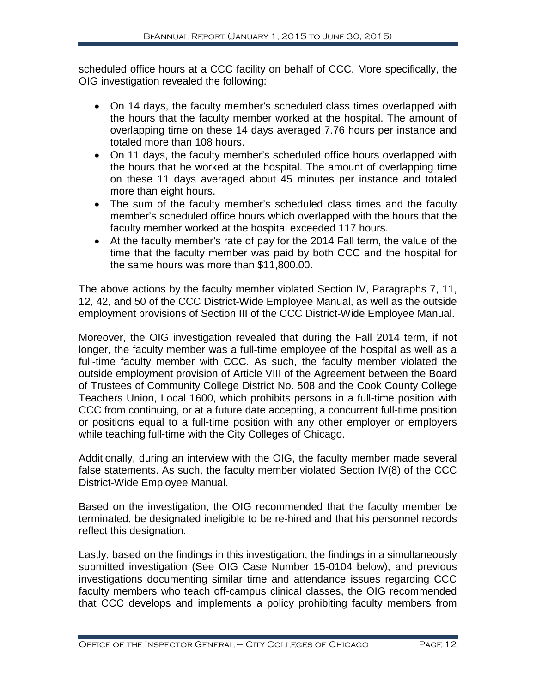scheduled office hours at a CCC facility on behalf of CCC. More specifically, the OIG investigation revealed the following:

- On 14 days, the faculty member's scheduled class times overlapped with the hours that the faculty member worked at the hospital. The amount of overlapping time on these 14 days averaged 7.76 hours per instance and totaled more than 108 hours.
- On 11 days, the faculty member's scheduled office hours overlapped with the hours that he worked at the hospital. The amount of overlapping time on these 11 days averaged about 45 minutes per instance and totaled more than eight hours.
- The sum of the faculty member's scheduled class times and the faculty member's scheduled office hours which overlapped with the hours that the faculty member worked at the hospital exceeded 117 hours.
- At the faculty member's rate of pay for the 2014 Fall term, the value of the time that the faculty member was paid by both CCC and the hospital for the same hours was more than \$11,800.00.

The above actions by the faculty member violated Section IV, Paragraphs 7, 11, 12, 42, and 50 of the CCC District-Wide Employee Manual, as well as the outside employment provisions of Section III of the CCC District-Wide Employee Manual.

Moreover, the OIG investigation revealed that during the Fall 2014 term, if not longer, the faculty member was a full-time employee of the hospital as well as a full-time faculty member with CCC. As such, the faculty member violated the outside employment provision of Article VIII of the Agreement between the Board of Trustees of Community College District No. 508 and the Cook County College Teachers Union, Local 1600, which prohibits persons in a full-time position with CCC from continuing, or at a future date accepting, a concurrent full-time position or positions equal to a full-time position with any other employer or employers while teaching full-time with the City Colleges of Chicago.

Additionally, during an interview with the OIG, the faculty member made several false statements. As such, the faculty member violated Section IV(8) of the CCC District-Wide Employee Manual.

Based on the investigation, the OIG recommended that the faculty member be terminated, be designated ineligible to be re-hired and that his personnel records reflect this designation.

Lastly, based on the findings in this investigation, the findings in a simultaneously submitted investigation (See OIG Case Number 15-0104 below), and previous investigations documenting similar time and attendance issues regarding CCC faculty members who teach off-campus clinical classes, the OIG recommended that CCC develops and implements a policy prohibiting faculty members from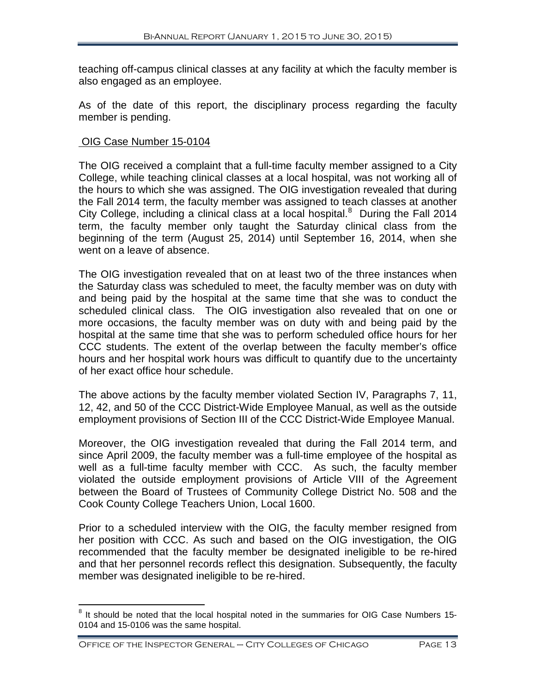teaching off-campus clinical classes at any facility at which the faculty member is also engaged as an employee.

As of the date of this report, the disciplinary process regarding the faculty member is pending.

#### OIG Case Number 15-0104

The OIG received a complaint that a full-time faculty member assigned to a City College, while teaching clinical classes at a local hospital, was not working all of the hours to which she was assigned. The OIG investigation revealed that during the Fall 2014 term, the faculty member was assigned to teach classes at another City College, including a clinical class at a local hospital. $8$  During the Fall 2014 term, the faculty member only taught the Saturday clinical class from the beginning of the term (August 25, 2014) until September 16, 2014, when she went on a leave of absence.

The OIG investigation revealed that on at least two of the three instances when the Saturday class was scheduled to meet, the faculty member was on duty with and being paid by the hospital at the same time that she was to conduct the scheduled clinical class. The OIG investigation also revealed that on one or more occasions, the faculty member was on duty with and being paid by the hospital at the same time that she was to perform scheduled office hours for her CCC students. The extent of the overlap between the faculty member's office hours and her hospital work hours was difficult to quantify due to the uncertainty of her exact office hour schedule.

The above actions by the faculty member violated Section IV, Paragraphs 7, 11, 12, 42, and 50 of the CCC District-Wide Employee Manual, as well as the outside employment provisions of Section III of the CCC District-Wide Employee Manual.

Moreover, the OIG investigation revealed that during the Fall 2014 term, and since April 2009, the faculty member was a full-time employee of the hospital as well as a full-time faculty member with CCC. As such, the faculty member violated the outside employment provisions of Article VIII of the Agreement between the Board of Trustees of Community College District No. 508 and the Cook County College Teachers Union, Local 1600.

Prior to a scheduled interview with the OIG, the faculty member resigned from her position with CCC. As such and based on the OIG investigation, the OIG recommended that the faculty member be designated ineligible to be re-hired and that her personnel records reflect this designation. Subsequently, the faculty member was designated ineligible to be re-hired.

 $\overline{\phantom{a}}$ 

<span id="page-14-0"></span> $8$  It should be noted that the local hospital noted in the summaries for OIG Case Numbers 15-0104 and 15-0106 was the same hospital.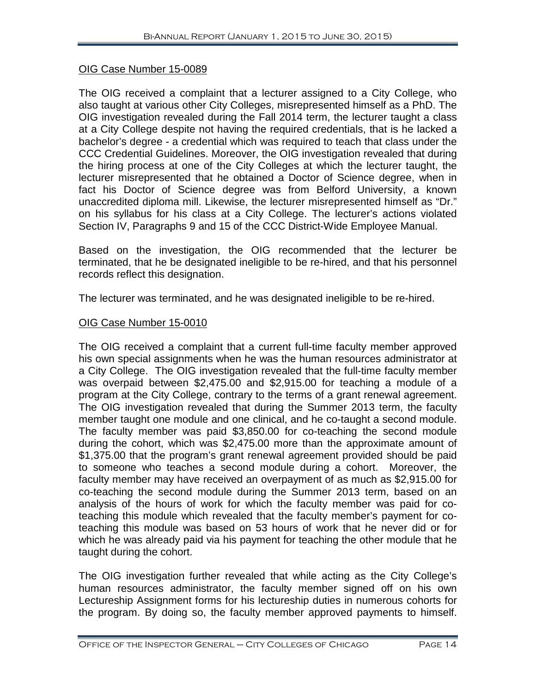#### OIG Case Number 15-0089

The OIG received a complaint that a lecturer assigned to a City College, who also taught at various other City Colleges, misrepresented himself as a PhD. The OIG investigation revealed during the Fall 2014 term, the lecturer taught a class at a City College despite not having the required credentials, that is he lacked a bachelor's degree - a credential which was required to teach that class under the CCC Credential Guidelines. Moreover, the OIG investigation revealed that during the hiring process at one of the City Colleges at which the lecturer taught, the lecturer misrepresented that he obtained a Doctor of Science degree, when in fact his Doctor of Science degree was from Belford University, a known unaccredited diploma mill. Likewise, the lecturer misrepresented himself as "Dr." on his syllabus for his class at a City College. The lecturer's actions violated Section IV, Paragraphs 9 and 15 of the CCC District-Wide Employee Manual.

Based on the investigation, the OIG recommended that the lecturer be terminated, that he be designated ineligible to be re-hired, and that his personnel records reflect this designation.

The lecturer was terminated, and he was designated ineligible to be re-hired.

#### OIG Case Number 15-0010

The OIG received a complaint that a current full-time faculty member approved his own special assignments when he was the human resources administrator at a City College. The OIG investigation revealed that the full-time faculty member was overpaid between \$2,475.00 and \$2,915.00 for teaching a module of a program at the City College, contrary to the terms of a grant renewal agreement. The OIG investigation revealed that during the Summer 2013 term, the faculty member taught one module and one clinical, and he co-taught a second module. The faculty member was paid \$3,850.00 for co-teaching the second module during the cohort, which was \$2,475.00 more than the approximate amount of \$1,375.00 that the program's grant renewal agreement provided should be paid to someone who teaches a second module during a cohort. Moreover, the faculty member may have received an overpayment of as much as \$2,915.00 for co-teaching the second module during the Summer 2013 term, based on an analysis of the hours of work for which the faculty member was paid for coteaching this module which revealed that the faculty member's payment for coteaching this module was based on 53 hours of work that he never did or for which he was already paid via his payment for teaching the other module that he taught during the cohort.

The OIG investigation further revealed that while acting as the City College's human resources administrator, the faculty member signed off on his own Lectureship Assignment forms for his lectureship duties in numerous cohorts for the program. By doing so, the faculty member approved payments to himself.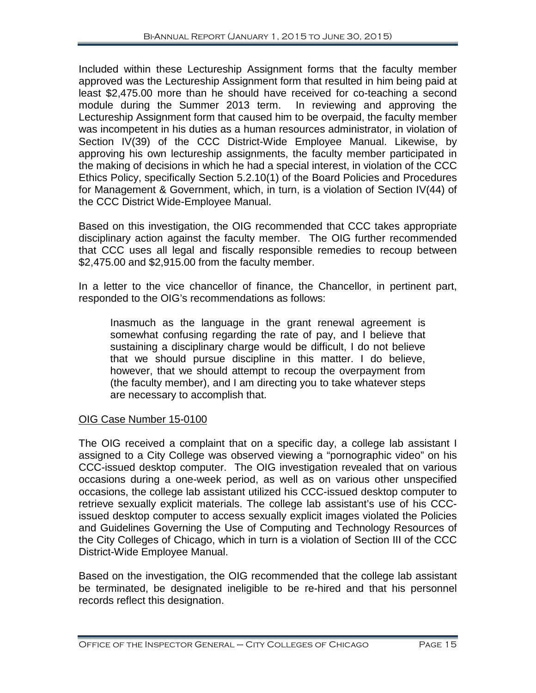Included within these Lectureship Assignment forms that the faculty member approved was the Lectureship Assignment form that resulted in him being paid at least \$2,475.00 more than he should have received for co-teaching a second module during the Summer 2013 term. In reviewing and approving the Lectureship Assignment form that caused him to be overpaid, the faculty member was incompetent in his duties as a human resources administrator, in violation of Section IV(39) of the CCC District-Wide Employee Manual. Likewise, by approving his own lectureship assignments, the faculty member participated in the making of decisions in which he had a special interest, in violation of the CCC Ethics Policy, specifically Section 5.2.10(1) of the Board Policies and Procedures for Management & Government, which, in turn, is a violation of Section IV(44) of the CCC District Wide-Employee Manual.

Based on this investigation, the OIG recommended that CCC takes appropriate disciplinary action against the faculty member. The OIG further recommended that CCC uses all legal and fiscally responsible remedies to recoup between \$2,475.00 and \$2,915.00 from the faculty member.

In a letter to the vice chancellor of finance, the Chancellor, in pertinent part, responded to the OIG's recommendations as follows:

Inasmuch as the language in the grant renewal agreement is somewhat confusing regarding the rate of pay, and I believe that sustaining a disciplinary charge would be difficult, I do not believe that we should pursue discipline in this matter. I do believe, however, that we should attempt to recoup the overpayment from (the faculty member), and I am directing you to take whatever steps are necessary to accomplish that.

#### OIG Case Number 15-0100

The OIG received a complaint that on a specific day, a college lab assistant I assigned to a City College was observed viewing a "pornographic video" on his CCC-issued desktop computer. The OIG investigation revealed that on various occasions during a one-week period, as well as on various other unspecified occasions, the college lab assistant utilized his CCC-issued desktop computer to retrieve sexually explicit materials. The college lab assistant's use of his CCCissued desktop computer to access sexually explicit images violated the Policies and Guidelines Governing the Use of Computing and Technology Resources of the City Colleges of Chicago, which in turn is a violation of Section III of the CCC District-Wide Employee Manual.

Based on the investigation, the OIG recommended that the college lab assistant be terminated, be designated ineligible to be re-hired and that his personnel records reflect this designation.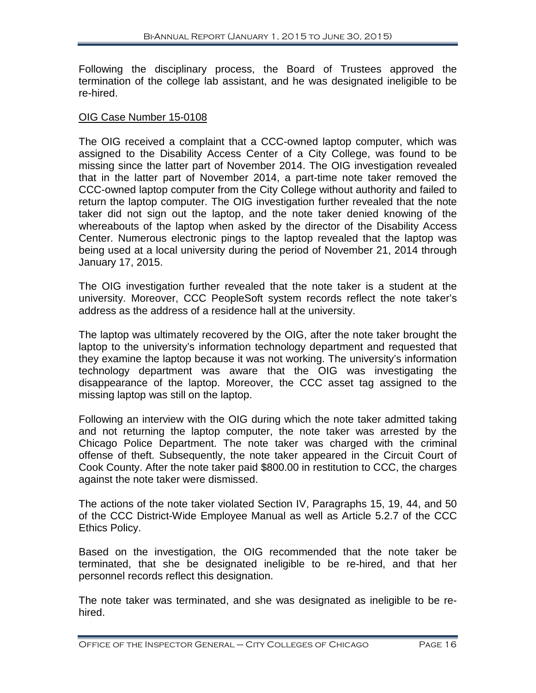Following the disciplinary process, the Board of Trustees approved the termination of the college lab assistant, and he was designated ineligible to be re-hired.

#### OIG Case Number 15-0108

The OIG received a complaint that a CCC-owned laptop computer, which was assigned to the Disability Access Center of a City College, was found to be missing since the latter part of November 2014. The OIG investigation revealed that in the latter part of November 2014, a part-time note taker removed the CCC-owned laptop computer from the City College without authority and failed to return the laptop computer. The OIG investigation further revealed that the note taker did not sign out the laptop, and the note taker denied knowing of the whereabouts of the laptop when asked by the director of the Disability Access Center. Numerous electronic pings to the laptop revealed that the laptop was being used at a local university during the period of November 21, 2014 through January 17, 2015.

The OIG investigation further revealed that the note taker is a student at the university. Moreover, CCC PeopleSoft system records reflect the note taker's address as the address of a residence hall at the university.

The laptop was ultimately recovered by the OIG, after the note taker brought the laptop to the university's information technology department and requested that they examine the laptop because it was not working. The university's information technology department was aware that the OIG was investigating the disappearance of the laptop. Moreover, the CCC asset tag assigned to the missing laptop was still on the laptop.

Following an interview with the OIG during which the note taker admitted taking and not returning the laptop computer, the note taker was arrested by the Chicago Police Department. The note taker was charged with the criminal offense of theft. Subsequently, the note taker appeared in the Circuit Court of Cook County. After the note taker paid \$800.00 in restitution to CCC, the charges against the note taker were dismissed.

The actions of the note taker violated Section IV, Paragraphs 15, 19, 44, and 50 of the CCC District-Wide Employee Manual as well as Article 5.2.7 of the CCC Ethics Policy.

Based on the investigation, the OIG recommended that the note taker be terminated, that she be designated ineligible to be re-hired, and that her personnel records reflect this designation.

The note taker was terminated, and she was designated as ineligible to be rehired.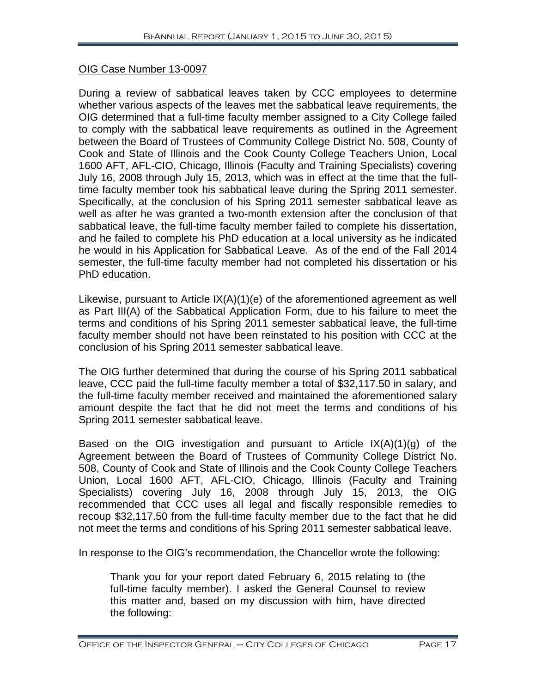#### OIG Case Number 13-0097

During a review of sabbatical leaves taken by CCC employees to determine whether various aspects of the leaves met the sabbatical leave requirements, the OIG determined that a full-time faculty member assigned to a City College failed to comply with the sabbatical leave requirements as outlined in the Agreement between the Board of Trustees of Community College District No. 508, County of Cook and State of Illinois and the Cook County College Teachers Union, Local 1600 AFT, AFL-CIO, Chicago, Illinois (Faculty and Training Specialists) covering July 16, 2008 through July 15, 2013, which was in effect at the time that the fulltime faculty member took his sabbatical leave during the Spring 2011 semester. Specifically, at the conclusion of his Spring 2011 semester sabbatical leave as well as after he was granted a two-month extension after the conclusion of that sabbatical leave, the full-time faculty member failed to complete his dissertation, and he failed to complete his PhD education at a local university as he indicated he would in his Application for Sabbatical Leave. As of the end of the Fall 2014 semester, the full-time faculty member had not completed his dissertation or his PhD education.

Likewise, pursuant to Article IX(A)(1)(e) of the aforementioned agreement as well as Part III(A) of the Sabbatical Application Form, due to his failure to meet the terms and conditions of his Spring 2011 semester sabbatical leave, the full-time faculty member should not have been reinstated to his position with CCC at the conclusion of his Spring 2011 semester sabbatical leave.

The OIG further determined that during the course of his Spring 2011 sabbatical leave, CCC paid the full-time faculty member a total of \$32,117.50 in salary, and the full-time faculty member received and maintained the aforementioned salary amount despite the fact that he did not meet the terms and conditions of his Spring 2011 semester sabbatical leave.

Based on the OIG investigation and pursuant to Article  $IX(A)(1)(q)$  of the Agreement between the Board of Trustees of Community College District No. 508, County of Cook and State of Illinois and the Cook County College Teachers Union, Local 1600 AFT, AFL-CIO, Chicago, Illinois (Faculty and Training Specialists) covering July 16, 2008 through July 15, 2013, the OIG recommended that CCC uses all legal and fiscally responsible remedies to recoup \$32,117.50 from the full-time faculty member due to the fact that he did not meet the terms and conditions of his Spring 2011 semester sabbatical leave.

In response to the OIG's recommendation, the Chancellor wrote the following:

Thank you for your report dated February 6, 2015 relating to (the full-time faculty member). I asked the General Counsel to review this matter and, based on my discussion with him, have directed the following: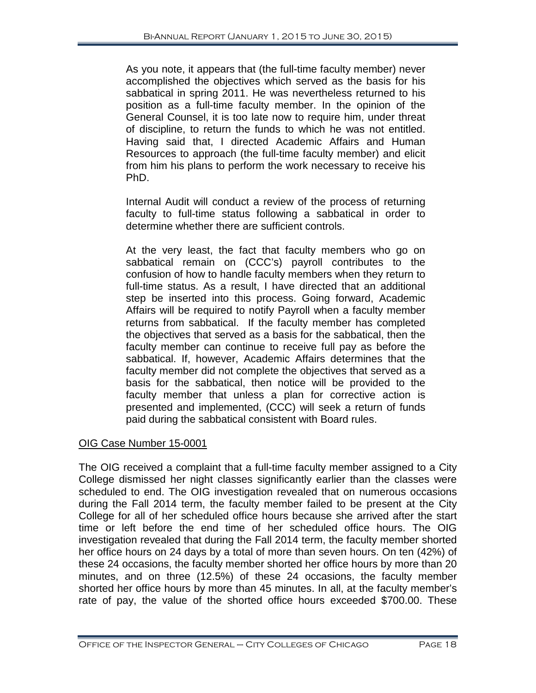As you note, it appears that (the full-time faculty member) never accomplished the objectives which served as the basis for his sabbatical in spring 2011. He was nevertheless returned to his position as a full-time faculty member. In the opinion of the General Counsel, it is too late now to require him, under threat of discipline, to return the funds to which he was not entitled. Having said that, I directed Academic Affairs and Human Resources to approach (the full-time faculty member) and elicit from him his plans to perform the work necessary to receive his PhD.

Internal Audit will conduct a review of the process of returning faculty to full-time status following a sabbatical in order to determine whether there are sufficient controls.

At the very least, the fact that faculty members who go on sabbatical remain on (CCC's) payroll contributes to the confusion of how to handle faculty members when they return to full-time status. As a result, I have directed that an additional step be inserted into this process. Going forward, Academic Affairs will be required to notify Payroll when a faculty member returns from sabbatical. If the faculty member has completed the objectives that served as a basis for the sabbatical, then the faculty member can continue to receive full pay as before the sabbatical. If, however, Academic Affairs determines that the faculty member did not complete the objectives that served as a basis for the sabbatical, then notice will be provided to the faculty member that unless a plan for corrective action is presented and implemented, (CCC) will seek a return of funds paid during the sabbatical consistent with Board rules.

#### OIG Case Number 15-0001

The OIG received a complaint that a full-time faculty member assigned to a City College dismissed her night classes significantly earlier than the classes were scheduled to end. The OIG investigation revealed that on numerous occasions during the Fall 2014 term, the faculty member failed to be present at the City College for all of her scheduled office hours because she arrived after the start time or left before the end time of her scheduled office hours. The OIG investigation revealed that during the Fall 2014 term, the faculty member shorted her office hours on 24 days by a total of more than seven hours. On ten (42%) of these 24 occasions, the faculty member shorted her office hours by more than 20 minutes, and on three (12.5%) of these 24 occasions, the faculty member shorted her office hours by more than 45 minutes. In all, at the faculty member's rate of pay, the value of the shorted office hours exceeded \$700.00. These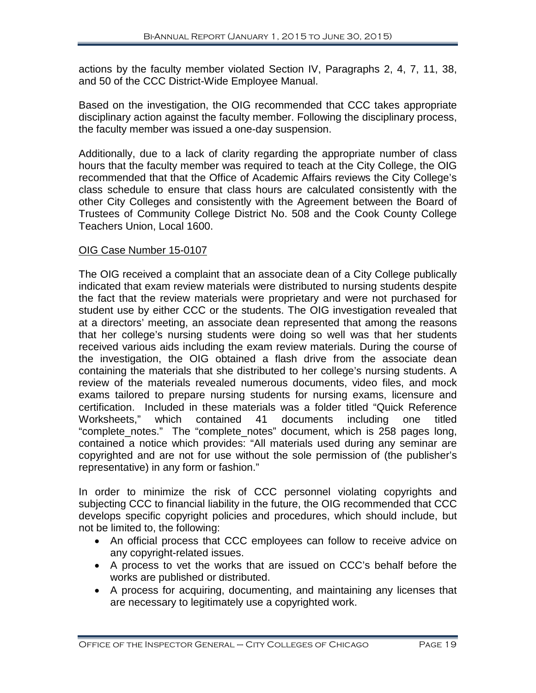actions by the faculty member violated Section IV, Paragraphs 2, 4, 7, 11, 38, and 50 of the CCC District-Wide Employee Manual.

Based on the investigation, the OIG recommended that CCC takes appropriate disciplinary action against the faculty member. Following the disciplinary process, the faculty member was issued a one-day suspension.

Additionally, due to a lack of clarity regarding the appropriate number of class hours that the faculty member was required to teach at the City College, the OIG recommended that that the Office of Academic Affairs reviews the City College's class schedule to ensure that class hours are calculated consistently with the other City Colleges and consistently with the Agreement between the Board of Trustees of Community College District No. 508 and the Cook County College Teachers Union, Local 1600.

#### OIG Case Number 15-0107

The OIG received a complaint that an associate dean of a City College publically indicated that exam review materials were distributed to nursing students despite the fact that the review materials were proprietary and were not purchased for student use by either CCC or the students. The OIG investigation revealed that at a directors' meeting, an associate dean represented that among the reasons that her college's nursing students were doing so well was that her students received various aids including the exam review materials. During the course of the investigation, the OIG obtained a flash drive from the associate dean containing the materials that she distributed to her college's nursing students. A review of the materials revealed numerous documents, video files, and mock exams tailored to prepare nursing students for nursing exams, licensure and certification. Included in these materials was a folder titled "Quick Reference Worksheets," which contained 41 documents including one titled "complete\_notes." The "complete\_notes" document, which is 258 pages long, contained a notice which provides: "All materials used during any seminar are copyrighted and are not for use without the sole permission of (the publisher's representative) in any form or fashion."

In order to minimize the risk of CCC personnel violating copyrights and subjecting CCC to financial liability in the future, the OIG recommended that CCC develops specific copyright policies and procedures, which should include, but not be limited to, the following:

- An official process that CCC employees can follow to receive advice on any copyright-related issues.
- A process to vet the works that are issued on CCC's behalf before the works are published or distributed.
- A process for acquiring, documenting, and maintaining any licenses that are necessary to legitimately use a copyrighted work.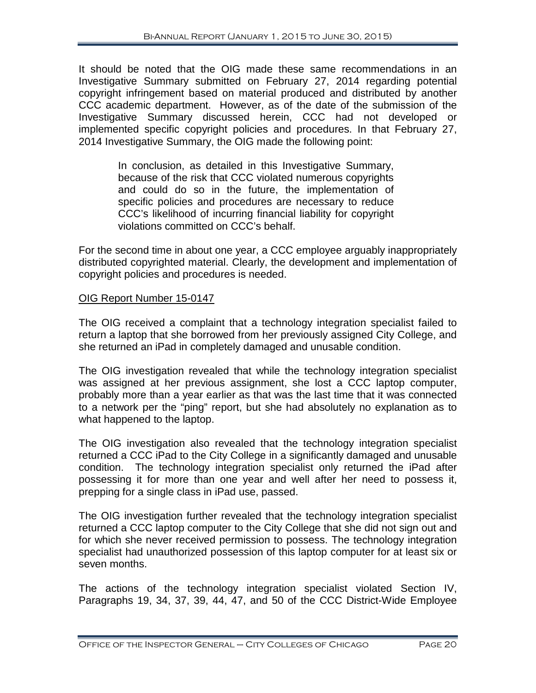It should be noted that the OIG made these same recommendations in an Investigative Summary submitted on February 27, 2014 regarding potential copyright infringement based on material produced and distributed by another CCC academic department. However, as of the date of the submission of the Investigative Summary discussed herein, CCC had not developed or implemented specific copyright policies and procedures. In that February 27, 2014 Investigative Summary, the OIG made the following point:

> In conclusion, as detailed in this Investigative Summary, because of the risk that CCC violated numerous copyrights and could do so in the future, the implementation of specific policies and procedures are necessary to reduce CCC's likelihood of incurring financial liability for copyright violations committed on CCC's behalf.

For the second time in about one year, a CCC employee arguably inappropriately distributed copyrighted material. Clearly, the development and implementation of copyright policies and procedures is needed.

#### OIG Report Number 15-0147

The OIG received a complaint that a technology integration specialist failed to return a laptop that she borrowed from her previously assigned City College, and she returned an iPad in completely damaged and unusable condition.

The OIG investigation revealed that while the technology integration specialist was assigned at her previous assignment, she lost a CCC laptop computer, probably more than a year earlier as that was the last time that it was connected to a network per the "ping" report, but she had absolutely no explanation as to what happened to the laptop.

The OIG investigation also revealed that the technology integration specialist returned a CCC iPad to the City College in a significantly damaged and unusable condition. The technology integration specialist only returned the iPad after possessing it for more than one year and well after her need to possess it, prepping for a single class in iPad use, passed.

The OIG investigation further revealed that the technology integration specialist returned a CCC laptop computer to the City College that she did not sign out and for which she never received permission to possess. The technology integration specialist had unauthorized possession of this laptop computer for at least six or seven months.

The actions of the technology integration specialist violated Section IV, Paragraphs 19, 34, 37, 39, 44, 47, and 50 of the CCC District-Wide Employee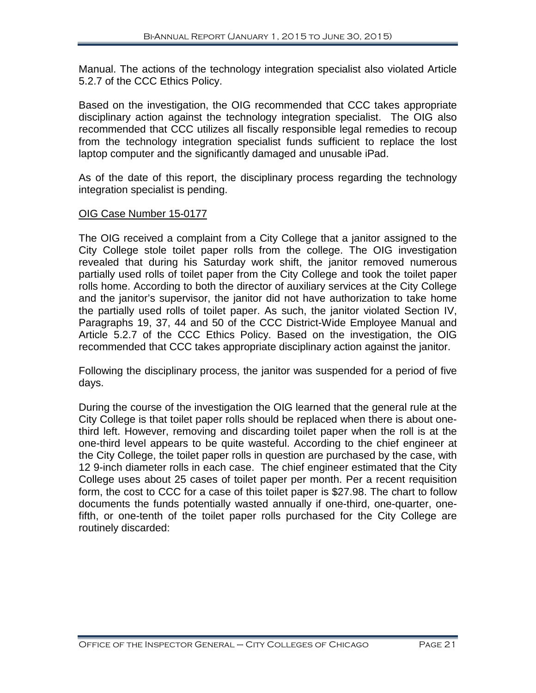Manual. The actions of the technology integration specialist also violated Article 5.2.7 of the CCC Ethics Policy.

Based on the investigation, the OIG recommended that CCC takes appropriate disciplinary action against the technology integration specialist. The OIG also recommended that CCC utilizes all fiscally responsible legal remedies to recoup from the technology integration specialist funds sufficient to replace the lost laptop computer and the significantly damaged and unusable iPad.

As of the date of this report, the disciplinary process regarding the technology integration specialist is pending.

#### OIG Case Number 15-0177

The OIG received a complaint from a City College that a janitor assigned to the City College stole toilet paper rolls from the college. The OIG investigation revealed that during his Saturday work shift, the janitor removed numerous partially used rolls of toilet paper from the City College and took the toilet paper rolls home. According to both the director of auxiliary services at the City College and the janitor's supervisor, the janitor did not have authorization to take home the partially used rolls of toilet paper. As such, the janitor violated Section IV, Paragraphs 19, 37, 44 and 50 of the CCC District-Wide Employee Manual and Article 5.2.7 of the CCC Ethics Policy. Based on the investigation, the OIG recommended that CCC takes appropriate disciplinary action against the janitor.

Following the disciplinary process, the janitor was suspended for a period of five days.

During the course of the investigation the OIG learned that the general rule at the City College is that toilet paper rolls should be replaced when there is about onethird left. However, removing and discarding toilet paper when the roll is at the one-third level appears to be quite wasteful. According to the chief engineer at the City College, the toilet paper rolls in question are purchased by the case, with 12 9-inch diameter rolls in each case. The chief engineer estimated that the City College uses about 25 cases of toilet paper per month. Per a recent requisition form, the cost to CCC for a case of this toilet paper is \$27.98. The chart to follow documents the funds potentially wasted annually if one-third, one-quarter, onefifth, or one-tenth of the toilet paper rolls purchased for the City College are routinely discarded: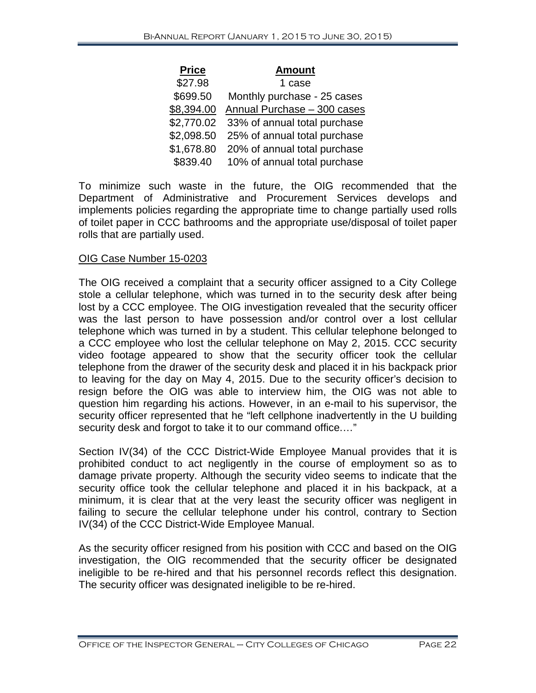| <b>Price</b> | <b>Amount</b>                |
|--------------|------------------------------|
| \$27.98      | 1 case                       |
| \$699.50     | Monthly purchase - 25 cases  |
| \$8,394.00   | Annual Purchase - 300 cases  |
| \$2,770.02   | 33% of annual total purchase |
| \$2,098.50   | 25% of annual total purchase |
| \$1,678.80   | 20% of annual total purchase |
| \$839.40     | 10% of annual total purchase |

To minimize such waste in the future, the OIG recommended that the Department of Administrative and Procurement Services develops and implements policies regarding the appropriate time to change partially used rolls of toilet paper in CCC bathrooms and the appropriate use/disposal of toilet paper rolls that are partially used.

#### OIG Case Number 15-0203

The OIG received a complaint that a security officer assigned to a City College stole a cellular telephone, which was turned in to the security desk after being lost by a CCC employee. The OIG investigation revealed that the security officer was the last person to have possession and/or control over a lost cellular telephone which was turned in by a student. This cellular telephone belonged to a CCC employee who lost the cellular telephone on May 2, 2015. CCC security video footage appeared to show that the security officer took the cellular telephone from the drawer of the security desk and placed it in his backpack prior to leaving for the day on May 4, 2015. Due to the security officer's decision to resign before the OIG was able to interview him, the OIG was not able to question him regarding his actions. However, in an e-mail to his supervisor, the security officer represented that he "left cellphone inadvertently in the U building security desk and forgot to take it to our command office.…"

Section IV(34) of the CCC District-Wide Employee Manual provides that it is prohibited conduct to act negligently in the course of employment so as to damage private property. Although the security video seems to indicate that the security office took the cellular telephone and placed it in his backpack, at a minimum, it is clear that at the very least the security officer was negligent in failing to secure the cellular telephone under his control, contrary to Section IV(34) of the CCC District-Wide Employee Manual.

As the security officer resigned from his position with CCC and based on the OIG investigation, the OIG recommended that the security officer be designated ineligible to be re-hired and that his personnel records reflect this designation. The security officer was designated ineligible to be re-hired.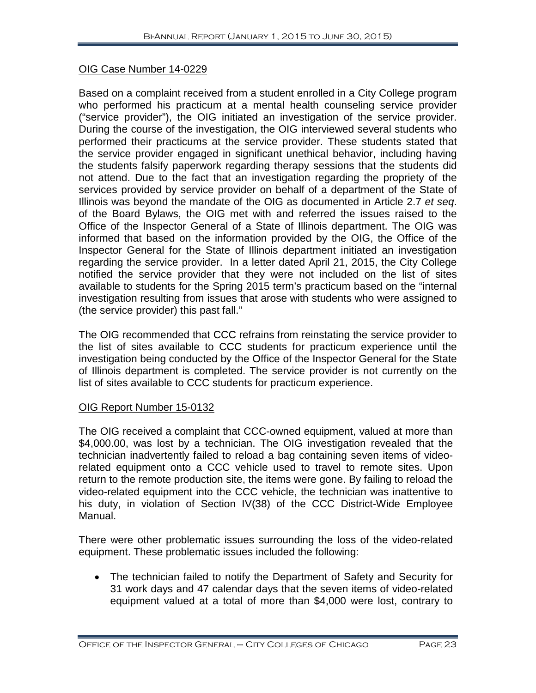#### OIG Case Number 14-0229

Based on a complaint received from a student enrolled in a City College program who performed his practicum at a mental health counseling service provider ("service provider"), the OIG initiated an investigation of the service provider. During the course of the investigation, the OIG interviewed several students who performed their practicums at the service provider. These students stated that the service provider engaged in significant unethical behavior, including having the students falsify paperwork regarding therapy sessions that the students did not attend. Due to the fact that an investigation regarding the propriety of the services provided by service provider on behalf of a department of the State of Illinois was beyond the mandate of the OIG as documented in Article 2.7 *et seq*. of the Board Bylaws, the OIG met with and referred the issues raised to the Office of the Inspector General of a State of Illinois department. The OIG was informed that based on the information provided by the OIG, the Office of the Inspector General for the State of Illinois department initiated an investigation regarding the service provider. In a letter dated April 21, 2015, the City College notified the service provider that they were not included on the list of sites available to students for the Spring 2015 term's practicum based on the "internal investigation resulting from issues that arose with students who were assigned to (the service provider) this past fall."

The OIG recommended that CCC refrains from reinstating the service provider to the list of sites available to CCC students for practicum experience until the investigation being conducted by the Office of the Inspector General for the State of Illinois department is completed. The service provider is not currently on the list of sites available to CCC students for practicum experience.

#### OIG Report Number 15-0132

The OIG received a complaint that CCC-owned equipment, valued at more than \$4,000.00, was lost by a technician. The OIG investigation revealed that the technician inadvertently failed to reload a bag containing seven items of videorelated equipment onto a CCC vehicle used to travel to remote sites. Upon return to the remote production site, the items were gone. By failing to reload the video-related equipment into the CCC vehicle, the technician was inattentive to his duty, in violation of Section IV(38) of the CCC District-Wide Employee Manual.

There were other problematic issues surrounding the loss of the video-related equipment. These problematic issues included the following:

• The technician failed to notify the Department of Safety and Security for 31 work days and 47 calendar days that the seven items of video-related equipment valued at a total of more than \$4,000 were lost, contrary to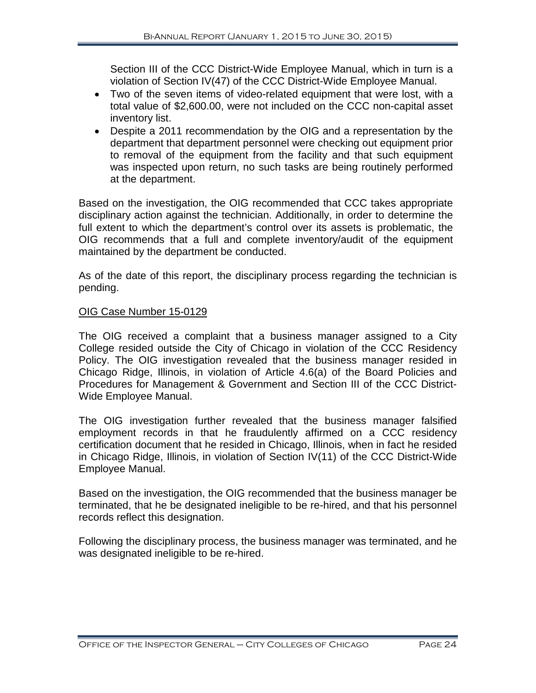Section III of the CCC District-Wide Employee Manual, which in turn is a violation of Section IV(47) of the CCC District-Wide Employee Manual.

- Two of the seven items of video-related equipment that were lost, with a total value of \$2,600.00, were not included on the CCC non-capital asset inventory list.
- Despite a 2011 recommendation by the OIG and a representation by the department that department personnel were checking out equipment prior to removal of the equipment from the facility and that such equipment was inspected upon return, no such tasks are being routinely performed at the department.

Based on the investigation, the OIG recommended that CCC takes appropriate disciplinary action against the technician. Additionally, in order to determine the full extent to which the department's control over its assets is problematic, the OIG recommends that a full and complete inventory/audit of the equipment maintained by the department be conducted.

As of the date of this report, the disciplinary process regarding the technician is pending.

#### OIG Case Number 15-0129

The OIG received a complaint that a business manager assigned to a City College resided outside the City of Chicago in violation of the CCC Residency Policy. The OIG investigation revealed that the business manager resided in Chicago Ridge, Illinois, in violation of Article 4.6(a) of the Board Policies and Procedures for Management & Government and Section III of the CCC District-Wide Employee Manual.

The OIG investigation further revealed that the business manager falsified employment records in that he fraudulently affirmed on a CCC residency certification document that he resided in Chicago, Illinois, when in fact he resided in Chicago Ridge, Illinois, in violation of Section IV(11) of the CCC District-Wide Employee Manual.

Based on the investigation, the OIG recommended that the business manager be terminated, that he be designated ineligible to be re-hired, and that his personnel records reflect this designation.

Following the disciplinary process, the business manager was terminated, and he was designated ineligible to be re-hired.